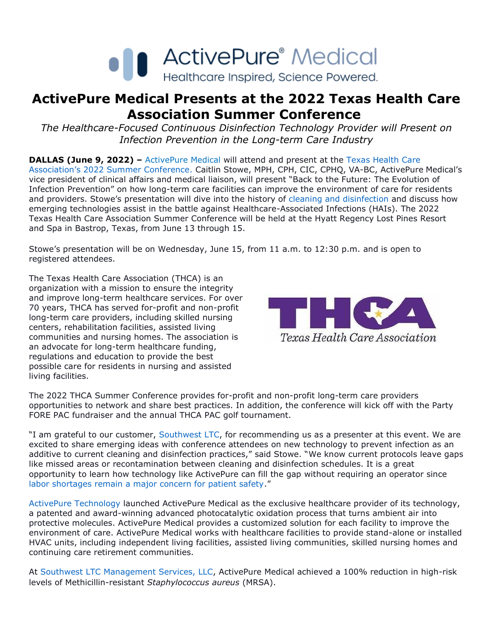

## **ActivePure Medical Presents at the 2022 Texas Health Care Association Summer Conference**

*The Healthcare-Focused Continuous Disinfection Technology Provider will Present on Infection Prevention in the Long-term Care Industry*

**DALLAS (June 9, 2022)** – [ActivePure Medical](https://www.activepuremedical.com/service-providers/?utm_source=activepure+medical+press+release&utm_medium=accesswire.com&utm_campaign=june+2022+activepure+medical+presents+at+thca+summer+conference&utm_content=activepure+medical+hyperlink+1) will attend and present at the Texas Health Care [Association's 2022 Summer Conference](https://txhca.org/event/2022-thca-summer-conference/). Caitlin Stowe, MPH, CPH, CIC, CPHQ, VA-BC, ActivePure Medical's vice president of clinical affairs and medical liaison, will present "Back to the Future: The Evolution of Infection Prevention" on how long-term care facilities can improve the environment of care for residents and providers. Stowe's presentation will dive into the history of [cleaning and disinfection](https://www.activepuremedical.com/the-science/?utm_source=activepure+medical+press+release&utm_medium=accesswire.com&utm_campaign=june+2022+activepure+medical+presents+at+thca+summer+conference&utm_content=cleaning+and+disinfection+hyperlink+2) and discuss how emerging technologies assist in the battle against Healthcare-Associated Infections (HAIs). The 2022 Texas Health Care Association Summer Conference will be held at the Hyatt Regency Lost Pines Resort and Spa in Bastrop, Texas, from June 13 through 15.

Stowe's presentation will be on Wednesday, June 15, from 11 a.m. to 12:30 p.m. and is open to registered attendees.

The Texas Health Care Association (THCA) is an organization with a mission to ensure the integrity and improve long-term healthcare services. For over 70 years, THCA has served for-profit and non-profit long-term care providers, including skilled nursing centers, rehabilitation facilities, assisted living communities and nursing homes. The association is an advocate for long-term healthcare funding, regulations and education to provide the best possible care for residents in nursing and assisted living facilities. 



The 2022 THCA Summer Conference provides for-profit and non-profit long-term care providers opportunities to network and share best practices. In addition, the conference will kick off with the Party FORE PAC fundraiser and the annual THCA PAC golf tournament.

"I am grateful to our customer, [Southwest LTC,](https://www.swltc.com/) for recommending us as a presenter at this event. We are excited to share emerging ideas with conference attendees on new technology to prevent infection as an additive to current cleaning and disinfection practices," said Stowe. "We know current protocols leave gaps like missed areas or recontamination between cleaning and disinfection schedules. It is a great opportunity to learn how technology like ActivePure can fill the gap without requiring an operator since [labor shortages remain a major concern for patient safety](https://www.activepuremedical.com/healthcare-worker-shortage/?utm_source=activepure+medical+press+release&utm_medium=accesswire.com&utm_campaign=june+2022+activepure+medical+presents+at+thca+summer+conference&utm_content=labor+shortages+remain+a+major+concern+for+patient+safety+hyperlink+3)." 

[ActivePure Technology](https://www.activepuremedical.com/the-technology/?utm_source=activepure+medical+press+release&utm_medium=accesswire.com&utm_campaign=june+2022+activepure+medical+presents+at+thca+summer+conference&utm_content=activepure+technology+hyperlink+4) launched ActivePure Medical as the exclusive healthcare provider of its technology, a patented and award-winning advanced photocatalytic oxidation process that turns ambient air into protective molecules. ActivePure Medical provides a customized solution for each facility to improve the environment of care. ActivePure Medical works with healthcare facilities to provide stand-alone or installed HVAC units, including independent living facilities, assisted living communities, skilled nursing homes and continuing care retirement communities.

At [Southwest LTC Management Services, LLC,](https://www.swltc.com/) ActivePure Medical achieved a 100% reduction in high-risk levels of Methicillin-resistant *Staphylococcus aureus* (MRSA).